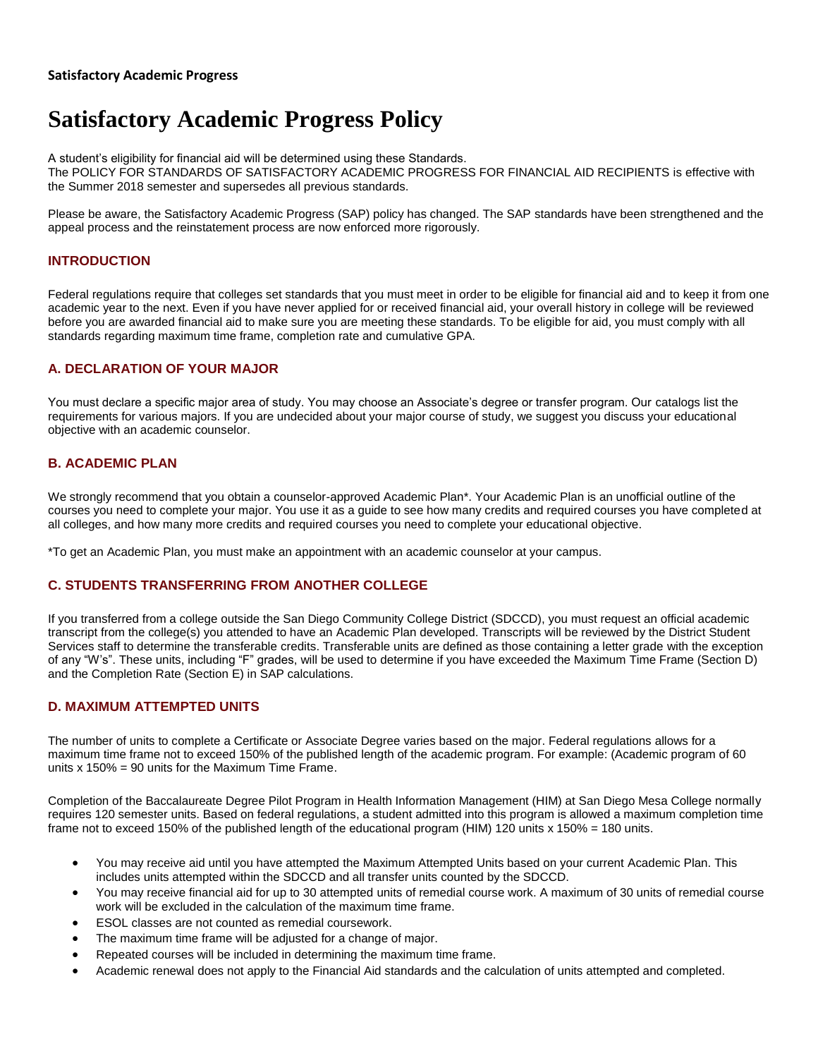#### **Satisfactory Academic Progress**

# **Satisfactory Academic Progress Policy**

A student's eligibility for financial aid will be determined using these Standards. The POLICY FOR STANDARDS OF SATISFACTORY ACADEMIC PROGRESS FOR FINANCIAL AID RECIPIENTS is effective with the Summer 2018 semester and supersedes all previous standards.

Please be aware, the Satisfactory Academic Progress (SAP) policy has changed. The SAP standards have been strengthened and the appeal process and the reinstatement process are now enforced more rigorously.

# **INTRODUCTION**

Federal regulations require that colleges set standards that you must meet in order to be eligible for financial aid and to keep it from one academic year to the next. Even if you have never applied for or received financial aid, your overall history in college will be reviewed before you are awarded financial aid to make sure you are meeting these standards. To be eligible for aid, you must comply with all standards regarding maximum time frame, completion rate and cumulative GPA.

### **A. DECLARATION OF YOUR MAJOR**

You must declare a specific major area of study. You may choose an Associate's degree or transfer program. Our catalogs list the requirements for various majors. If you are undecided about your major course of study, we suggest you discuss your educational objective with an academic counselor.

# **B. ACADEMIC PLAN**

We strongly recommend that you obtain a counselor-approved Academic Plan<sup>\*</sup>. Your Academic Plan is an unofficial outline of the courses you need to complete your major. You use it as a guide to see how many credits and required courses you have completed at all colleges, and how many more credits and required courses you need to complete your educational objective.

\*To get an Academic Plan, you must make an appointment with an academic counselor at your campus.

### **C. STUDENTS TRANSFERRING FROM ANOTHER COLLEGE**

If you transferred from a college outside the San Diego Community College District (SDCCD), you must request an official academic transcript from the college(s) you attended to have an Academic Plan developed. Transcripts will be reviewed by the District Student Services staff to determine the transferable credits. Transferable units are defined as those containing a letter grade with the exception of any "W's". These units, including "F" grades, will be used to determine if you have exceeded the Maximum Time Frame (Section D) and the Completion Rate (Section E) in SAP calculations.

### **D. MAXIMUM ATTEMPTED UNITS**

The number of units to complete a Certificate or Associate Degree varies based on the major. Federal regulations allows for a maximum time frame not to exceed 150% of the published length of the academic program. For example: (Academic program of 60 units x 150% = 90 units for the Maximum Time Frame.

Completion of the Baccalaureate Degree Pilot Program in Health Information Management (HIM) at San Diego Mesa College normally requires 120 semester units. Based on federal regulations, a student admitted into this program is allowed a maximum completion time frame not to exceed 150% of the published length of the educational program (HIM) 120 units x 150% = 180 units.

- You may receive aid until you have attempted the Maximum Attempted Units based on your current Academic Plan. This includes units attempted within the SDCCD and all transfer units counted by the SDCCD.
- You may receive financial aid for up to 30 attempted units of remedial course work. A maximum of 30 units of remedial course work will be excluded in the calculation of the maximum time frame.
- ESOL classes are not counted as remedial coursework.
- The maximum time frame will be adjusted for a change of major.
- Repeated courses will be included in determining the maximum time frame.
- Academic renewal does not apply to the Financial Aid standards and the calculation of units attempted and completed.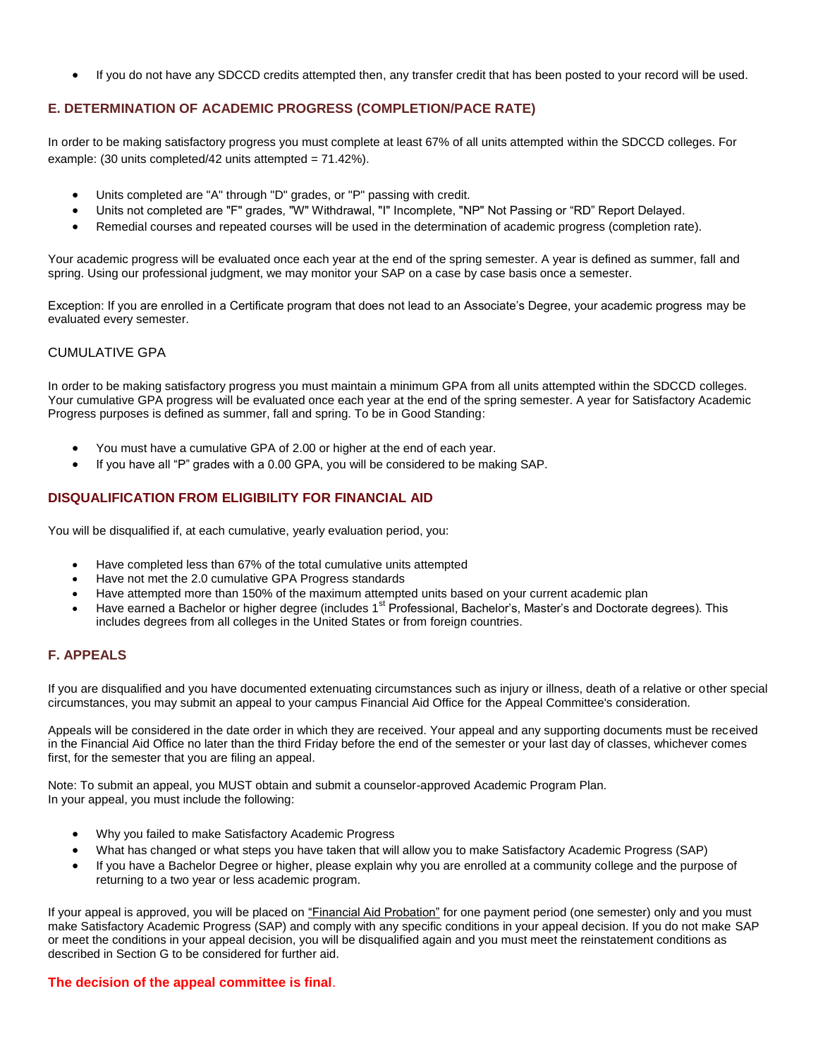If you do not have any SDCCD credits attempted then, any transfer credit that has been posted to your record will be used.

# **E. DETERMINATION OF ACADEMIC PROGRESS (COMPLETION/PACE RATE)**

In order to be making satisfactory progress you must complete at least 67% of all units attempted within the SDCCD colleges. For example: (30 units completed/42 units attempted = 71.42%).

- Units completed are "A" through "D" grades, or "P" passing with credit.
- Units not completed are "F" grades, "W" Withdrawal, "I" Incomplete, "NP" Not Passing or "RD" Report Delayed.
- Remedial courses and repeated courses will be used in the determination of academic progress (completion rate).

Your academic progress will be evaluated once each year at the end of the spring semester. A year is defined as summer, fall and spring. Using our professional judgment, we may monitor your SAP on a case by case basis once a semester.

Exception: If you are enrolled in a Certificate program that does not lead to an Associate's Degree, your academic progress may be evaluated every semester.

### CUMULATIVE GPA

In order to be making satisfactory progress you must maintain a minimum GPA from all units attempted within the SDCCD colleges. Your cumulative GPA progress will be evaluated once each year at the end of the spring semester. A year for Satisfactory Academic Progress purposes is defined as summer, fall and spring. To be in Good Standing:

- You must have a cumulative GPA of 2.00 or higher at the end of each year.
- If you have all "P" grades with a 0.00 GPA, you will be considered to be making SAP.

# **DISQUALIFICATION FROM ELIGIBILITY FOR FINANCIAL AID**

You will be disqualified if, at each cumulative, yearly evaluation period, you:

- Have completed less than 67% of the total cumulative units attempted
- Have not met the 2.0 cumulative GPA Progress standards
- Have attempted more than 150% of the maximum attempted units based on your current academic plan
- Have earned a Bachelor or higher degree (includes 1<sup>st</sup> Professional, Bachelor's, Master's and Doctorate degrees). This includes degrees from all colleges in the United States or from foreign countries.

# **F. APPEALS**

If you are disqualified and you have documented extenuating circumstances such as injury or illness, death of a relative or other special circumstances, you may submit an appeal to your campus Financial Aid Office for the Appeal Committee's consideration.

Appeals will be considered in the date order in which they are received. Your appeal and any supporting documents must be received in the Financial Aid Office no later than the third Friday before the end of the semester or your last day of classes, whichever comes first, for the semester that you are filing an appeal.

Note: To submit an appeal, you MUST obtain and submit a counselor-approved Academic Program Plan. In your appeal, you must include the following:

- Why you failed to make Satisfactory Academic Progress
- What has changed or what steps you have taken that will allow you to make Satisfactory Academic Progress (SAP)
- If you have a Bachelor Degree or higher, please explain why you are enrolled at a community college and the purpose of returning to a two year or less academic program.

If your appeal is approved, you will be placed on "Financial Aid Probation" for one payment period (one semester) only and you must make Satisfactory Academic Progress (SAP) and comply with any specific conditions in your appeal decision. If you do not make SAP or meet the conditions in your appeal decision, you will be disqualified again and you must meet the reinstatement conditions as described in Section G to be considered for further aid.

### **The decision of the appeal committee is final**.